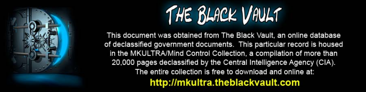

This document was obtained from The Black Vault, an online database of declassified government documents. This particular record is housed in the MKULTRA/Mind Control Collection, a compilation of more than 20,000 pages declassified by the Central Intelligence Agency (CIA). The entire collection is free to download and online at: http://mkultra.theblackvault.com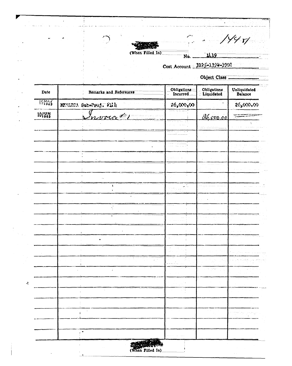

يو

 $\hat{A}$ 

<u>1119</u>

.<br>په à,

## Cost Account \_2125-1399-3902

No.

Object Class.

 $\ddot{\phantom{0}}$ 

 $1/4$ r/

| Date             | Remarks and References | Obligations<br>Incurred<br>$\sim$ | $\begin{array}{ll}\n\text{Obligations} \\ \hline\n\text{Liquidated}\n\end{array}$ | Unliquidated<br>Balance |  |
|------------------|------------------------|-----------------------------------|-----------------------------------------------------------------------------------|-------------------------|--|
| $15^{MA}_{1903}$ | MULTARA Sub-Proj. With | 26,000,00                         |                                                                                   | 26,000.00               |  |
| $10^{10}$ N      | Invoicet               |                                   | d6,000,00                                                                         |                         |  |
|                  |                        |                                   | <u>na man</u>                                                                     |                         |  |
|                  |                        |                                   |                                                                                   |                         |  |
|                  |                        |                                   |                                                                                   |                         |  |
|                  |                        |                                   |                                                                                   |                         |  |
|                  |                        |                                   |                                                                                   |                         |  |
|                  |                        |                                   |                                                                                   |                         |  |
|                  | $\pmb{\ddot{}}$<br>٠   | $\omega_{\rm eff}$                |                                                                                   |                         |  |
|                  |                        |                                   |                                                                                   |                         |  |
|                  |                        | .                                 |                                                                                   |                         |  |
|                  | ٠                      |                                   |                                                                                   |                         |  |
|                  |                        |                                   |                                                                                   |                         |  |
|                  |                        |                                   |                                                                                   |                         |  |
|                  |                        |                                   |                                                                                   |                         |  |
|                  |                        |                                   |                                                                                   |                         |  |
|                  | t.<br>ś.               |                                   | $\epsilon_{\rm{eff}} \approx \epsilon_{\rm{eff}}$ .                               | $\mathcal{A}$           |  |
|                  |                        |                                   |                                                                                   |                         |  |
|                  | ÷                      |                                   |                                                                                   |                         |  |
|                  |                        |                                   |                                                                                   |                         |  |
|                  |                        |                                   |                                                                                   |                         |  |
|                  | Ŷ.                     |                                   |                                                                                   |                         |  |
|                  |                        |                                   |                                                                                   |                         |  |
|                  |                        |                                   |                                                                                   |                         |  |
|                  | (When Filled In)       |                                   |                                                                                   |                         |  |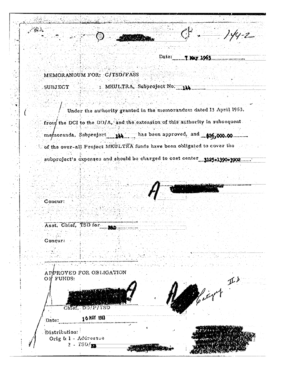| 不安的           |                                                                             |                               | انتهبتم    | $-2$ |
|---------------|-----------------------------------------------------------------------------|-------------------------------|------------|------|
|               |                                                                             | Date:                         | 7 Kay 1963 |      |
|               |                                                                             |                               |            |      |
|               | MEMORANDUM FOR: C/TSD/FASS                                                  |                               |            |      |
| SUBJECT       |                                                                             | : MKULTRA, Subproject No. 114 |            |      |
|               | Under the authority granted in the memorandum dated 13 April 1953,          |                               |            |      |
|               | from the DCI to the DD/A, and the extension of this authority in subsequent |                               |            |      |
|               | memoranda, Subproject 14 has been approved, and \$26,000.00                 |                               |            |      |
|               | of the over-all Project MKULTRA funds have been obligated to cover the      |                               |            |      |
|               | subproject's expenses and should be charged to cost center 3125-1390-3902.  |                               |            |      |
|               |                                                                             |                               |            |      |
|               |                                                                             |                               |            |      |
| Concur:       |                                                                             |                               |            |      |
|               |                                                                             |                               |            |      |
|               | Asst. Chief, TSD for.                                                       |                               |            |      |
| Concur:       |                                                                             |                               |            |      |
|               |                                                                             |                               |            |      |
|               |                                                                             |                               |            |      |
| $O$ FUNDS:    | APPROVED FOR OBLIGATION                                                     |                               |            |      |
|               |                                                                             |                               |            |      |
|               | Chief, DD/P/TSD                                                             |                               |            |      |
| Date:         | 16 MAY 1963                                                                 |                               |            |      |
| Distribution: |                                                                             |                               |            |      |

**STANDARD** 

 $\mathbb{R}^2$ 

医大脑心包 医心包 医心包 医心包 医心包 医心包 医心包 医心包 医心包

÷